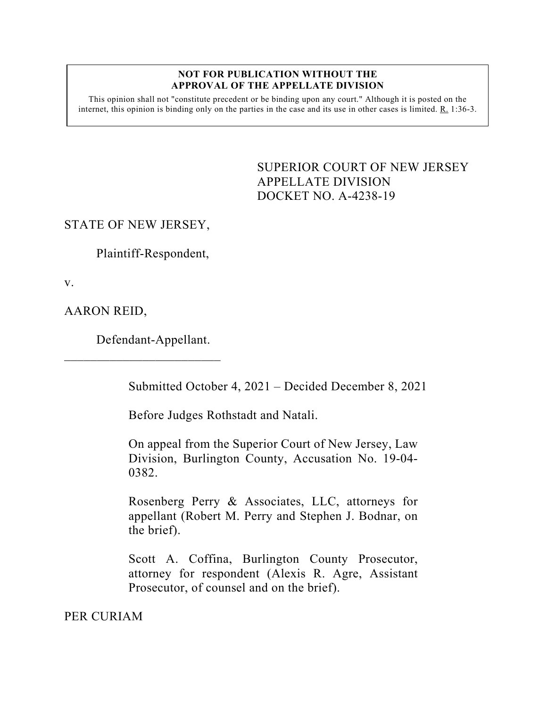#### **NOT FOR PUBLICATION WITHOUT THE APPROVAL OF THE APPELLATE DIVISION**

This opinion shall not "constitute precedent or be binding upon any court." Although it is posted on the internet, this opinion is binding only on the parties in the case and its use in other cases is limited. R. 1:36-3.

> <span id="page-0-0"></span>SUPERIOR COURT OF NEW JERSEY APPELLATE DIVISION DOCKET NO. A-4238-19

## STATE OF NEW JERSEY,

Plaintiff-Respondent,

v.

AARON REID,

Defendant-Appellant.

 $\overline{\phantom{a}}$  , which is a set of the set of the set of the set of the set of the set of the set of the set of the set of the set of the set of the set of the set of the set of the set of the set of the set of the set of th

Submitted October 4, 2021 – Decided December 8, 2021

Before Judges Rothstadt and Natali.

On appeal from the Superior Court of New Jersey, Law Division, Burlington County, Accusation No. 19-04- 0382.

Rosenberg Perry & Associates, LLC, attorneys for appellant (Robert M. Perry and Stephen J. Bodnar, on the brief).

Scott A. Coffina, Burlington County Prosecutor, attorney for respondent (Alexis R. Agre, Assistant Prosecutor, of counsel and on the brief).

PER CURIAM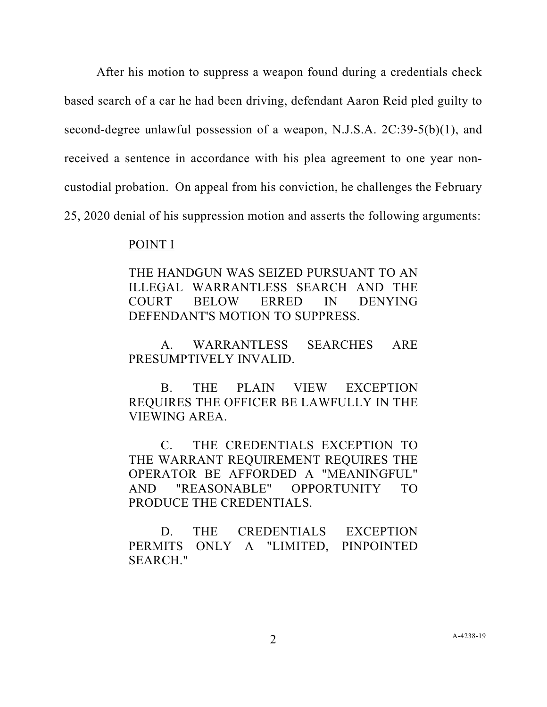After his motion to suppress a weapon found during a credentials check based search of a car he had been driving, defendant Aaron Reid pled guilty to second-degree unlawful possession of a weapon, N.J.S.A. 2C:39-5(b)(1), and received a sentence in accordance with his plea agreement to one year noncustodial probation. On appeal from his conviction, he challenges the February 25, 2020 denial of his suppression motion and asserts the following arguments:

### POINT I

THE HANDGUN WAS SEIZED PURSUANT TO AN ILLEGAL WARRANTLESS SEARCH AND THE COURT BELOW ERRED IN DENYING DEFENDANT'S MOTION TO SUPPRESS.

A. WARRANTLESS SEARCHES ARE PRESUMPTIVELY INVALID.

B. THE PLAIN VIEW EXCEPTION REQUIRES THE OFFICER BE LAWFULLY IN THE VIEWING AREA.

C. THE CREDENTIALS EXCEPTION TO THE WARRANT REQUIREMENT REQUIRES THE OPERATOR BE AFFORDED A "MEANINGFUL" AND "REASONABLE" OPPORTUNITY TO PRODUCE THE CREDENTIALS.

D. THE CREDENTIALS EXCEPTION PERMITS ONLY A "LIMITED, PINPOINTED SEARCH."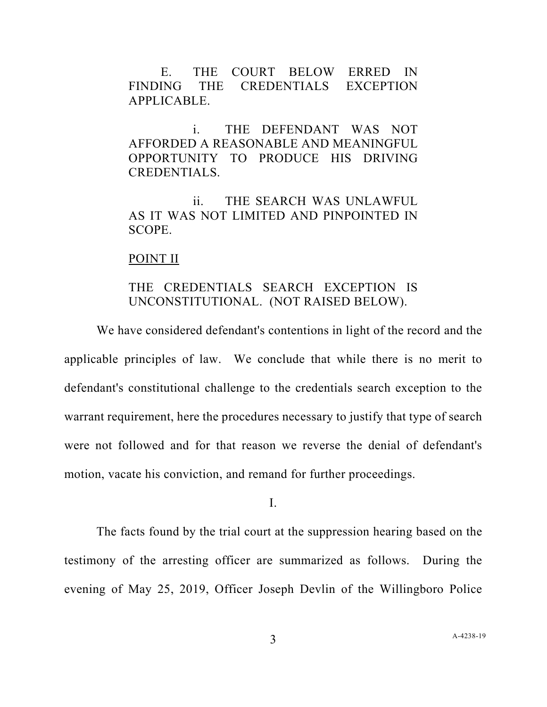E. THE COURT BELOW ERRED IN FINDING THE CREDENTIALS EXCEPTION APPLICABLE.

i. THE DEFENDANT WAS NOT AFFORDED A REASONABLE AND MEANINGFUL OPPORTUNITY TO PRODUCE HIS DRIVING CREDENTIALS.

ii. THE SEARCH WAS UNLAWFUL AS IT WAS NOT LIMITED AND PINPOINTED IN SCOPE.

### POINT II

# THE CREDENTIALS SEARCH EXCEPTION IS UNCONSTITUTIONAL. (NOT RAISED BELOW).

We have considered defendant's contentions in light of the record and the applicable principles of law. We conclude that while there is no merit to defendant's constitutional challenge to the credentials search exception to the warrant requirement, here the procedures necessary to justify that type of search were not followed and for that reason we reverse the denial of defendant's motion, vacate his conviction, and remand for further proceedings.

I.

The facts found by the trial court at the suppression hearing based on the testimony of the arresting officer are summarized as follows. During the evening of May 25, 2019, Officer Joseph Devlin of the Willingboro Police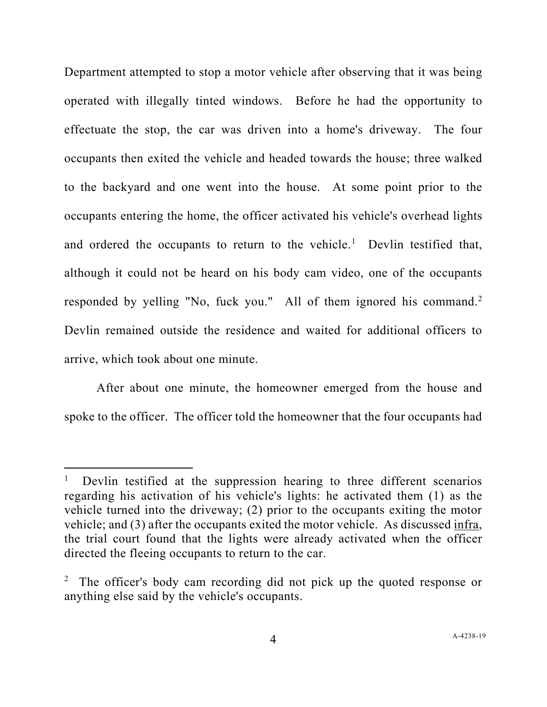Department attempted to stop a motor vehicle after observing that it was being operated with illegally tinted windows. Before he had the opportunity to effectuate the stop, the car was driven into a home's driveway. The four occupants then exited the vehicle and headed towards the house; three walked to the backyard and one went into the house. At some point prior to the occupants entering the home, the officer activated his vehicle's overhead lights and ordered the occupants to return to the vehicle.<sup>[1](#page-3-0)</sup> Devlin testified that, although it could not be heard on his body cam video, one of the occupants responded by yelling "No, fuck you." All of them ignored his command.<sup>[2](#page-3-1)</sup> Devlin remained outside the residence and waited for additional officers to arrive, which took about one minute.

After about one minute, the homeowner emerged from the house and spoke to the officer. The officer told the homeowner that the four occupants had

<span id="page-3-0"></span><sup>1</sup> Devlin testified at the suppression hearing to three different scenarios regarding his activation of his vehicle's lights: he activated them (1) as the vehicle turned into the driveway; (2) prior to the occupants exiting the motor vehicle; and (3) after the occupants exited the motor vehicle. As discussed infra, the trial court found that the lights were already activated when the officer directed the fleeing occupants to return to the car.

<span id="page-3-1"></span><sup>&</sup>lt;sup>2</sup> The officer's body cam recording did not pick up the quoted response or anything else said by the vehicle's occupants.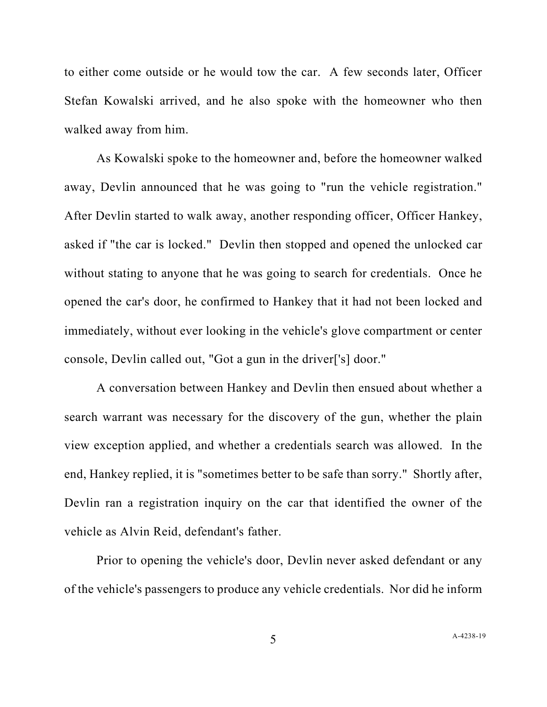to either come outside or he would tow the car. A few seconds later, Officer Stefan Kowalski arrived, and he also spoke with the homeowner who then walked away from him.

As Kowalski spoke to the homeowner and, before the homeowner walked away, Devlin announced that he was going to "run the vehicle registration." After Devlin started to walk away, another responding officer, Officer Hankey, asked if "the car is locked." Devlin then stopped and opened the unlocked car without stating to anyone that he was going to search for credentials. Once he opened the car's door, he confirmed to Hankey that it had not been locked and immediately, without ever looking in the vehicle's glove compartment or center console, Devlin called out, "Got a gun in the driver['s] door."

A conversation between Hankey and Devlin then ensued about whether a search warrant was necessary for the discovery of the gun, whether the plain view exception applied, and whether a credentials search was allowed. In the end, Hankey replied, it is "sometimes better to be safe than sorry." Shortly after, Devlin ran a registration inquiry on the car that identified the owner of the vehicle as Alvin Reid, defendant's father.

Prior to opening the vehicle's door, Devlin never asked defendant or any of the vehicle's passengers to produce any vehicle credentials. Nor did he inform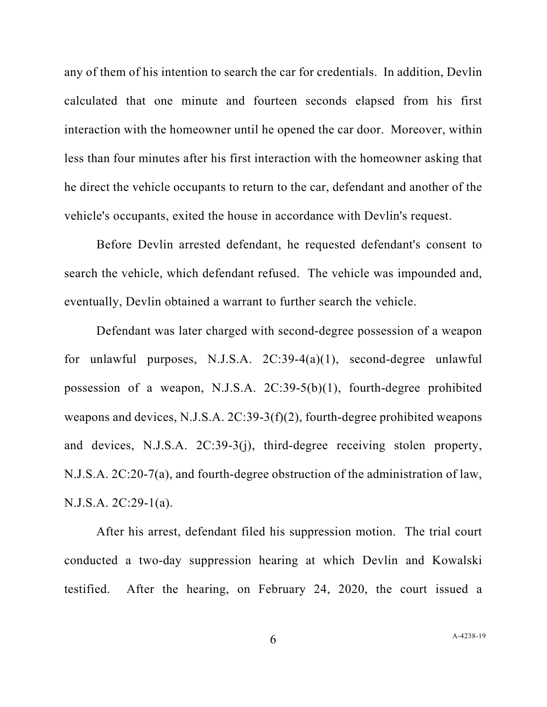any of them of his intention to search the car for credentials. In addition, Devlin calculated that one minute and fourteen seconds elapsed from his first interaction with the homeowner until he opened the car door. Moreover, within less than four minutes after his first interaction with the homeowner asking that he direct the vehicle occupants to return to the car, defendant and another of the vehicle's occupants, exited the house in accordance with Devlin's request.

Before Devlin arrested defendant, he requested defendant's consent to search the vehicle, which defendant refused. The vehicle was impounded and, eventually, Devlin obtained a warrant to further search the vehicle.

Defendant was later charged with second-degree possession of a weapon for unlawful purposes, N.J.S.A. 2C:39-4(a)(1), second-degree unlawful possession of a weapon, N.J.S.A. 2C:39-5(b)(1), fourth-degree prohibited weapons and devices, N.J.S.A. 2C:39-3(f)(2), fourth-degree prohibited weapons and devices, N.J.S.A. 2C:39-3(j), third-degree receiving stolen property, N.J.S.A. 2C:20-7(a), and fourth-degree obstruction of the administration of law, N.J.S.A. 2C:29-1(a).

After his arrest, defendant filed his suppression motion. The trial court conducted a two-day suppression hearing at which Devlin and Kowalski testified. After the hearing, on February 24, 2020, the court issued a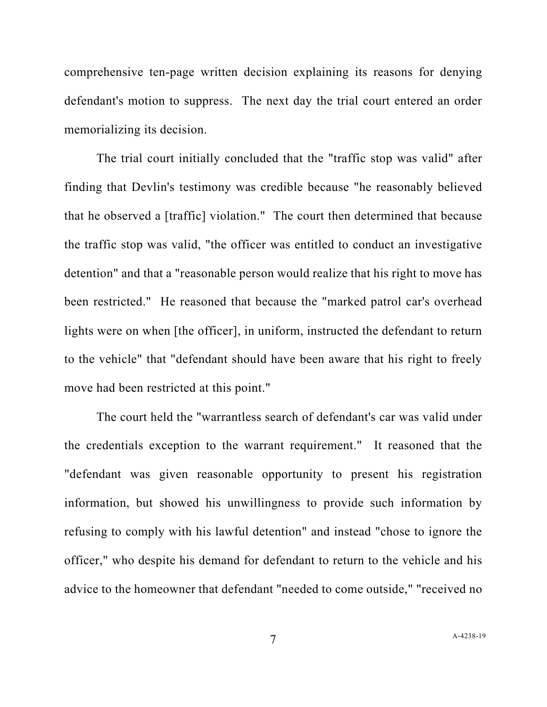comprehensive ten-page written decision explaining its reasons for denying defendant's motion to suppress. The next day the trial court entered an order memorializing its decision.

The trial court initially concluded that the "traffic stop was valid" after finding that Devlin's testimony was credible because "he reasonably believed that he observed a [traffic] violation." The court then determined that because the traffic stop was valid, "the officer was entitled to conduct an investigative detention" and that a "reasonable person would realize that his right to move has been restricted." He reasoned that because the "marked patrol car's overhead lights were on when [the officer], in uniform, instructed the defendant to return to the vehicle" that "defendant should have been aware that his right to freely move had been restricted at this point."

The court held the "warrantless search of defendant's car was valid under the credentials exception to the warrant requirement." It reasoned that the "defendant was given reasonable opportunity to present his registration information, but showed his unwillingness to provide such information by refusing to comply with his lawful detention" and instead "chose to ignore the officer," who despite his demand for defendant to return to the vehicle and his advice to the homeowner that defendant "needed to come outside," "received no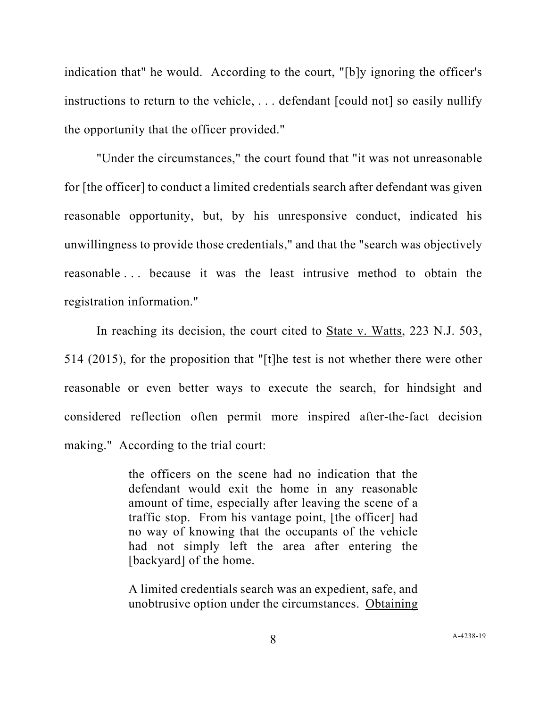indication that" he would. According to the court, "[b]y ignoring the officer's instructions to return to the vehicle, . . . defendant [could not] so easily nullify the opportunity that the officer provided."

"Under the circumstances," the court found that "it was not unreasonable for [the officer] to conduct a limited credentials search after defendant was given reasonable opportunity, but, by his unresponsive conduct, indicated his unwillingness to provide those credentials," and that the "search was objectively reasonable . . . because it was the least intrusive method to obtain the registration information."

In reaching its decision, the court cited to State v. Watts, 223 N.J. 503, 514 (2015), for the proposition that "[t]he test is not whether there were other reasonable or even better ways to execute the search, for hindsight and considered reflection often permit more inspired after-the-fact decision making." According to the trial court:

> the officers on the scene had no indication that the defendant would exit the home in any reasonable amount of time, especially after leaving the scene of a traffic stop. From his vantage point, [the officer] had no way of knowing that the occupants of the vehicle had not simply left the area after entering the [backyard] of the home.

> A limited credentials search was an expedient, safe, and unobtrusive option under the circumstances. Obtaining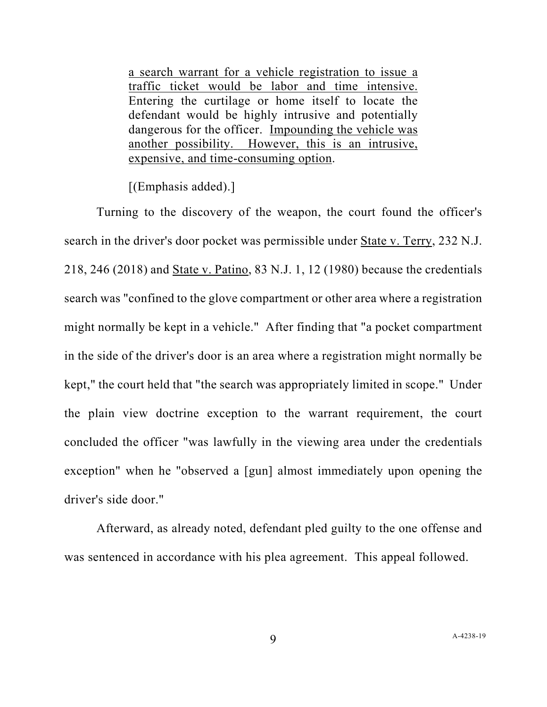a search warrant for a vehicle registration to issue a traffic ticket would be labor and time intensive. Entering the curtilage or home itself to locate the defendant would be highly intrusive and potentially dangerous for the officer. Impounding the vehicle was another possibility. However, this is an intrusive, expensive, and time-consuming option.

[(Emphasis added).]

Turning to the discovery of the weapon, the court found the officer's search in the driver's door pocket was permissible under State v. Terry, 232 N.J. 218, 246 (2018) and State v. Patino, 83 N.J. 1, 12 (1980) because the credentials search was "confined to the glove compartment or other area where a registration might normally be kept in a vehicle." After finding that "a pocket compartment in the side of the driver's door is an area where a registration might normally be kept," the court held that "the search was appropriately limited in scope." Under the plain view doctrine exception to the warrant requirement, the court concluded the officer "was lawfully in the viewing area under the credentials exception" when he "observed a [gun] almost immediately upon opening the driver's side door."

Afterward, as already noted, defendant pled guilty to the one offense and was sentenced in accordance with his plea agreement. This appeal followed.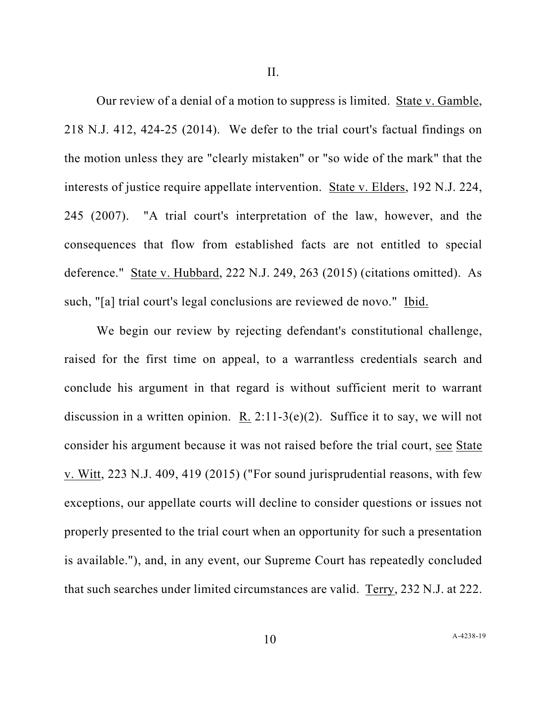II.

Our review of a denial of a motion to suppress is limited. State v. Gamble, 218 N.J. 412, 424-25 (2014). We defer to the trial court's factual findings on the motion unless they are "clearly mistaken" or "so wide of the mark" that the interests of justice require appellate intervention. State v. Elders, 192 N.J. 224, 245 (2007). "A trial court's interpretation of the law, however, and the consequences that flow from established facts are not entitled to special deference." State v. Hubbard, 222 N.J. 249, 263 (2015) (citations omitted). As such, "[a] trial court's legal conclusions are reviewed de novo." Ibid.

We begin our review by rejecting defendant's constitutional challenge, raised for the first time on appeal, to a warrantless credentials search and conclude his argument in that regard is without sufficient merit to warrant discussion in a written opinion. R. 2:11-3(e)(2). Suffice it to say, we will not consider his argument because it was not raised before the trial court, see State v. Witt, 223 N.J. 409, 419 (2015) ("For sound jurisprudential reasons, with few exceptions, our appellate courts will decline to consider questions or issues not properly presented to the trial court when an opportunity for such a presentation is available."), and, in any event, our Supreme Court has repeatedly concluded that such searches under limited circumstances are valid. Terry, 232 N.J. at 222.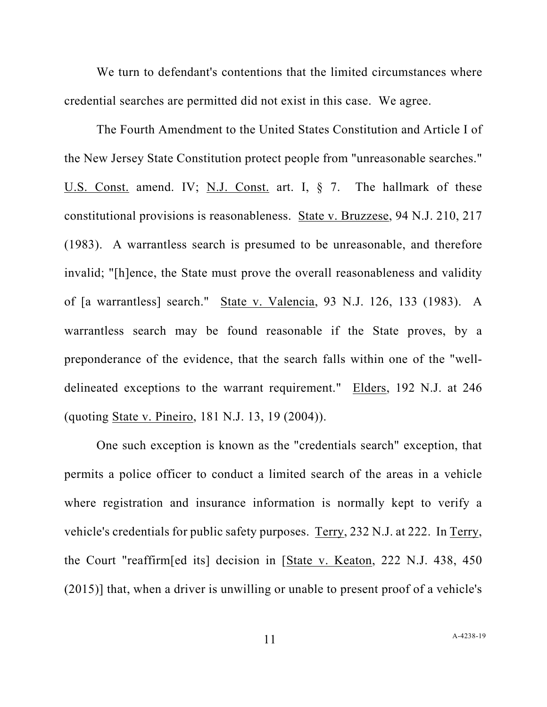We turn to defendant's contentions that the limited circumstances where credential searches are permitted did not exist in this case. We agree.

The Fourth Amendment to the United States Constitution and Article I of the New Jersey State Constitution protect people from "unreasonable searches." U.S. Const. amend. IV; N.J. Const. art. I, § 7. The hallmark of these constitutional provisions is reasonableness. State v. Bruzzese, 94 N.J. 210, 217 (1983). A warrantless search is presumed to be unreasonable, and therefore invalid; "[h]ence, the State must prove the overall reasonableness and validity of [a warrantless] search." State v. Valencia, 93 N.J. 126, 133 (1983). A warrantless search may be found reasonable if the State proves, by a preponderance of the evidence, that the search falls within one of the "welldelineated exceptions to the warrant requirement." Elders, 192 N.J. at 246 (quoting State v. Pineiro, 181 N.J. 13, 19 (2004)).

One such exception is known as the "credentials search" exception, that permits a police officer to conduct a limited search of the areas in a vehicle where registration and insurance information is normally kept to verify a vehicle's credentials for public safety purposes. Terry, 232 N.J. at 222. In Terry, the Court "reaffirm[ed its] decision in [State v. Keaton, 222 N.J. 438, 450 (2015)] that, when a driver is unwilling or unable to present proof of a vehicle's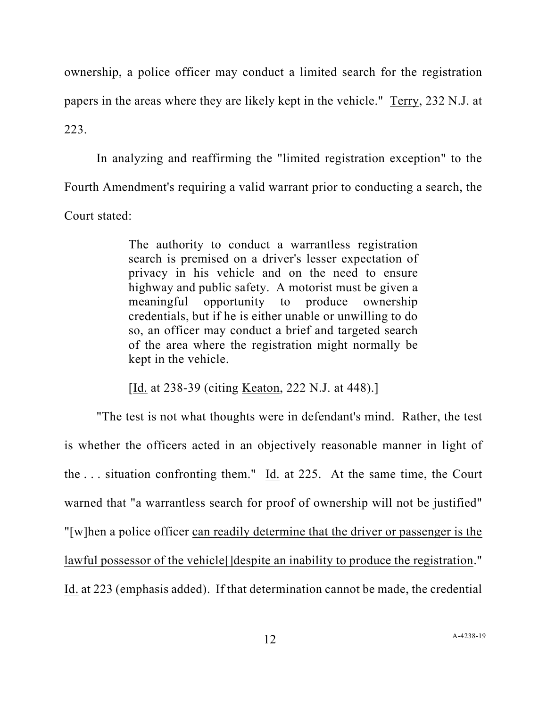ownership, a police officer may conduct a limited search for the registration papers in the areas where they are likely kept in the vehicle." Terry, 232 N.J. at 223.

In analyzing and reaffirming the "limited registration exception" to the Fourth Amendment's requiring a valid warrant prior to conducting a search, the Court stated:

> The authority to conduct a warrantless registration search is premised on a driver's lesser expectation of privacy in his vehicle and on the need to ensure highway and public safety. A motorist must be given a meaningful opportunity to produce ownership credentials, but if he is either unable or unwilling to do so, an officer may conduct a brief and targeted search of the area where the registration might normally be kept in the vehicle.

[Id. at 238-39 (citing <u>Keaton</u>, 222 N.J. at 448).]

"The test is not what thoughts were in defendant's mind. Rather, the test is whether the officers acted in an objectively reasonable manner in light of the . . . situation confronting them." Id. at 225. At the same time, the Court warned that "a warrantless search for proof of ownership will not be justified" "[w]hen a police officer can readily determine that the driver or passenger is the lawful possessor of the vehicle[]despite an inability to produce the registration." Id. at 223 (emphasis added). If that determination cannot be made, the credential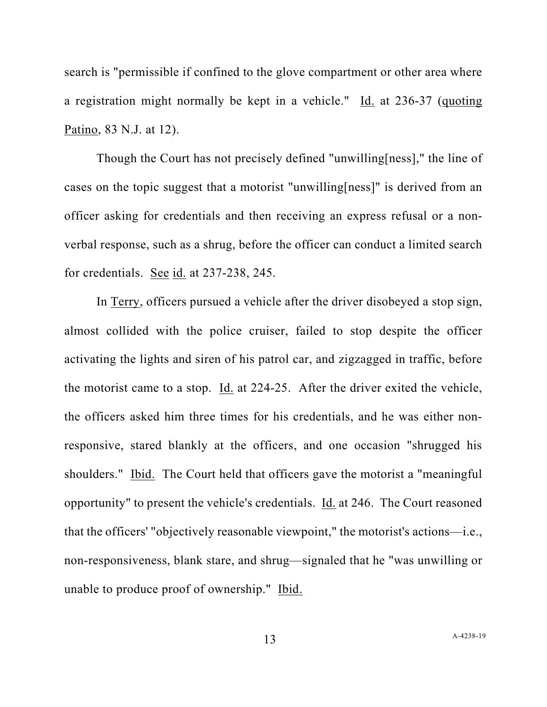search is "permissible if confined to the glove compartment or other area where a registration might normally be kept in a vehicle." Id. at 236-37 (quoting Patino, 83 N.J. at 12).

Though the Court has not precisely defined "unwilling[ness]," the line of cases on the topic suggest that a motorist "unwilling[ness]" is derived from an officer asking for credentials and then receiving an express refusal or a nonverbal response, such as a shrug, before the officer can conduct a limited search for credentials. See id. at 237-238, 245.

In Terry, officers pursued a vehicle after the driver disobeyed a stop sign, almost collided with the police cruiser, failed to stop despite the officer activating the lights and siren of his patrol car, and zigzagged in traffic, before the motorist came to a stop. Id. at 224-25. After the driver exited the vehicle, the officers asked him three times for his credentials, and he was either nonresponsive, stared blankly at the officers, and one occasion "shrugged his shoulders." Ibid. The Court held that officers gave the motorist a "meaningful opportunity" to present the vehicle's credentials. Id. at 246. The Court reasoned that the officers' "objectively reasonable viewpoint," the motorist's actions—i.e., non-responsiveness, blank stare, and shrug—signaled that he "was unwilling or unable to produce proof of ownership." Ibid.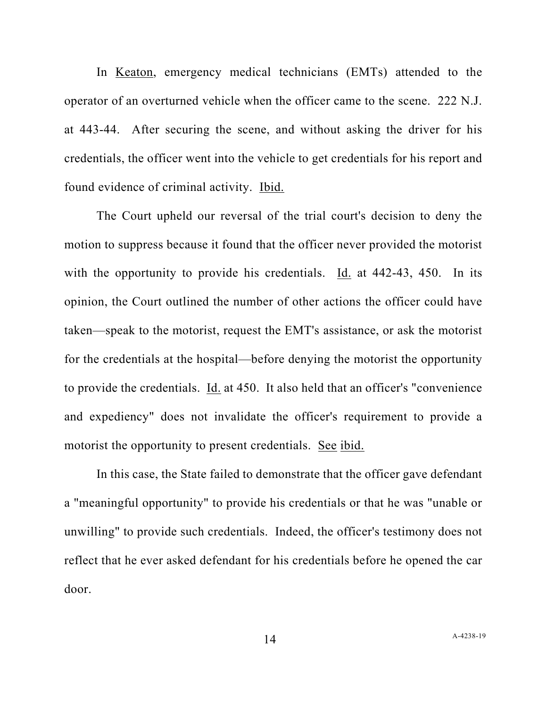In Keaton, emergency medical technicians (EMTs) attended to the operator of an overturned vehicle when the officer came to the scene. 222 N.J. at 443-44. After securing the scene, and without asking the driver for his credentials, the officer went into the vehicle to get credentials for his report and found evidence of criminal activity. Ibid.

The Court upheld our reversal of the trial court's decision to deny the motion to suppress because it found that the officer never provided the motorist with the opportunity to provide his credentials. Id. at 442-43, 450. In its opinion, the Court outlined the number of other actions the officer could have taken—speak to the motorist, request the EMT's assistance, or ask the motorist for the credentials at the hospital—before denying the motorist the opportunity to provide the credentials. Id. at 450. It also held that an officer's "convenience and expediency" does not invalidate the officer's requirement to provide a motorist the opportunity to present credentials. See ibid.

In this case, the State failed to demonstrate that the officer gave defendant a "meaningful opportunity" to provide his credentials or that he was "unable or unwilling" to provide such credentials. Indeed, the officer's testimony does not reflect that he ever asked defendant for his credentials before he opened the car door.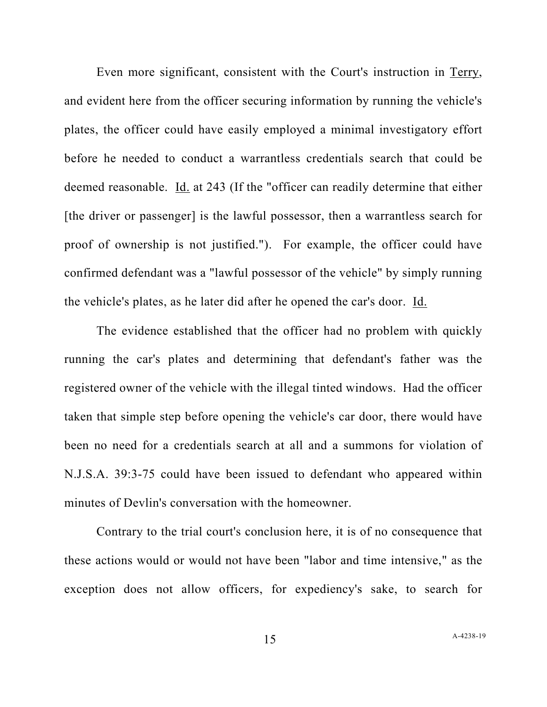Even more significant, consistent with the Court's instruction in Terry, and evident here from the officer securing information by running the vehicle's plates, the officer could have easily employed a minimal investigatory effort before he needed to conduct a warrantless credentials search that could be deemed reasonable. Id. at 243 (If the "officer can readily determine that either [the driver or passenger] is the lawful possessor, then a warrantless search for proof of ownership is not justified."). For example, the officer could have confirmed defendant was a "lawful possessor of the vehicle" by simply running the vehicle's plates, as he later did after he opened the car's door. Id.

The evidence established that the officer had no problem with quickly running the car's plates and determining that defendant's father was the registered owner of the vehicle with the illegal tinted windows. Had the officer taken that simple step before opening the vehicle's car door, there would have been no need for a credentials search at all and a summons for violation of N.J.S.A. 39:3-75 could have been issued to defendant who appeared within minutes of Devlin's conversation with the homeowner.

Contrary to the trial court's conclusion here, it is of no consequence that these actions would or would not have been "labor and time intensive," as the exception does not allow officers, for expediency's sake, to search for